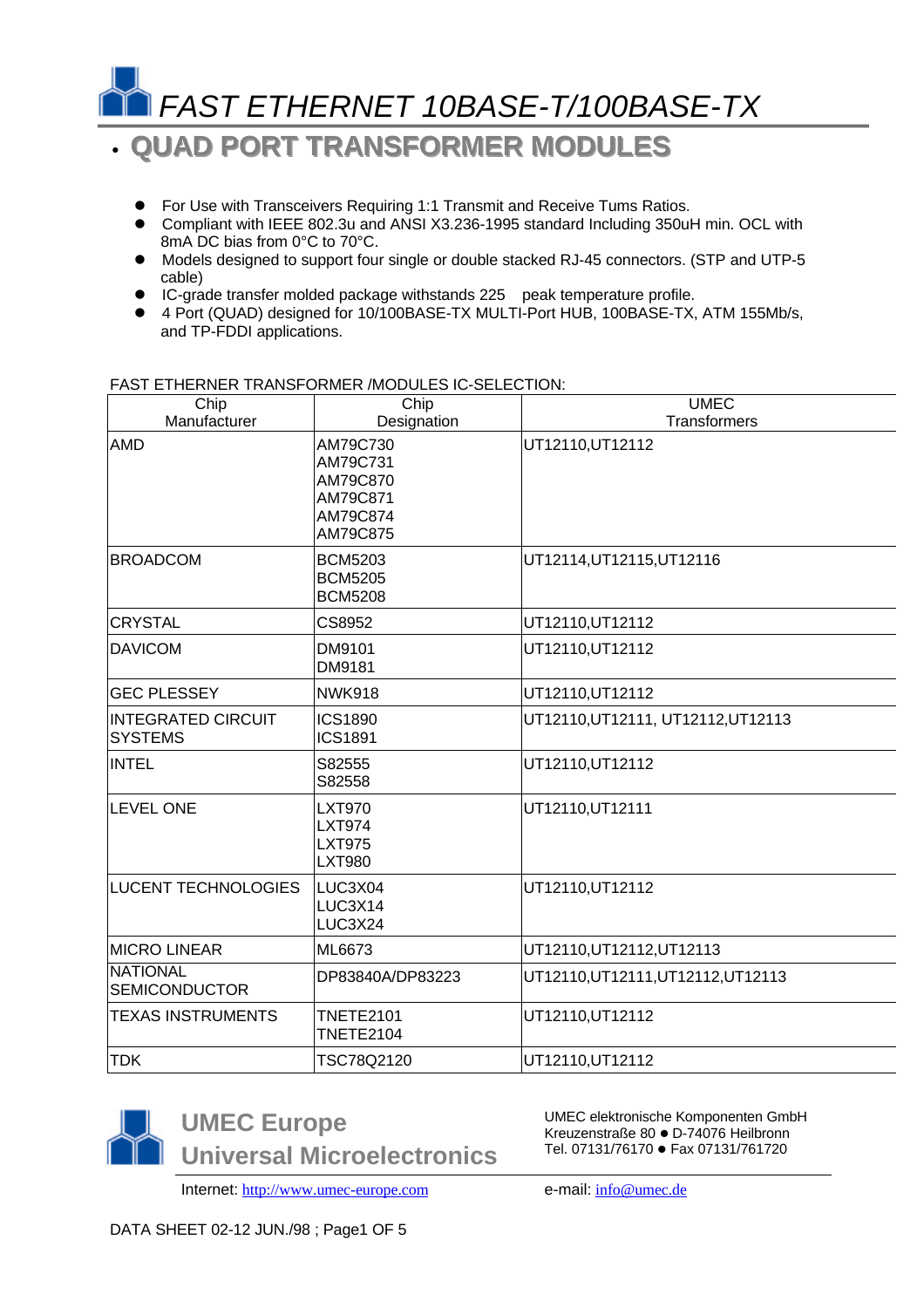

## • **QUAD PORT TRANSFORMER MODULES**

- **•** For Use with Transceivers Requiring 1:1 Transmit and Receive Tums Ratios.
- Compliant with IEEE 802.3u and ANSI X3.236-1995 standard Including 350uH min. OCL with 8mA DC bias from 0°C to 70°C.
- $\bullet$  Models designed to support four single or double stacked RJ-45 connectors. (STP and UTP-5 cable)
- **•** IC-grade transfer molded package withstands 225 peak temperature profile.
- 4 Port (QUAD) designed for 10/100BASE-TX MULTI-Port HUB, 100BASE-TX, ATM 155Mb/s, and TP-FDDI applications.

| Chip<br>Manufacturer                        | Chip<br>Designation                                                  | <b>UMEC</b><br><b>Transformers</b> |  |  |  |  |
|---------------------------------------------|----------------------------------------------------------------------|------------------------------------|--|--|--|--|
| <b>AMD</b>                                  | AM79C730<br>AM79C731<br>AM79C870<br>AM79C871<br>AM79C874<br>AM79C875 | UT12110, UT12112                   |  |  |  |  |
| <b>BROADCOM</b>                             | <b>BCM5203</b><br><b>BCM5205</b><br><b>BCM5208</b>                   | UT12114, UT12115, UT12116          |  |  |  |  |
| <b>CRYSTAL</b>                              | CS8952                                                               | UT12110, UT12112                   |  |  |  |  |
| <b>DAVICOM</b>                              | DM9101<br>DM9181                                                     | UT12110, UT12112                   |  |  |  |  |
| <b>GEC PLESSEY</b>                          | <b>NWK918</b>                                                        | UT12110, UT12112                   |  |  |  |  |
| <b>INTEGRATED CIRCUIT</b><br><b>SYSTEMS</b> | <b>ICS1890</b><br><b>ICS1891</b>                                     | UT12110, UT12111, UT12112, UT12113 |  |  |  |  |
| <b>INTEL</b>                                | S82555<br>S82558                                                     | UT12110, UT12112                   |  |  |  |  |
| <b>LEVEL ONE</b>                            | <b>LXT970</b><br><b>LXT974</b><br><b>LXT975</b><br><b>LXT980</b>     | UT12110, UT12111                   |  |  |  |  |
| <b>LUCENT TECHNOLOGIES</b>                  | LUC3X04<br><b>LUC3X14</b><br>LUC3X24                                 | UT12110, UT12112                   |  |  |  |  |
| <b>MICRO LINEAR</b>                         | ML6673                                                               | UT12110, UT12112, UT12113          |  |  |  |  |
| <b>NATIONAL</b><br><b>SEMICONDUCTOR</b>     | DP83840A/DP83223                                                     | UT12110, UT12111, UT12112, UT12113 |  |  |  |  |
| <b>TEXAS INSTRUMENTS</b>                    | <b>TNETE2101</b><br><b>TNETE2104</b>                                 | UT12110, UT12112                   |  |  |  |  |
| <b>TDK</b>                                  | TSC78Q2120                                                           | UT12110, UT12112                   |  |  |  |  |
|                                             |                                                                      |                                    |  |  |  |  |

#### FAST ETHERNER TRANSFORMER /MODULES IC-SELECTION:



**UMEC Europe Universal Microelectronics**

UMEC elektronische Komponenten GmbH Kreuzenstraße 80 · D-74076 Heilbronn Tel. 07131/76170 · Fax 07131/761720

Internet: http://www.umec-europe.com e-mail: info@umec.de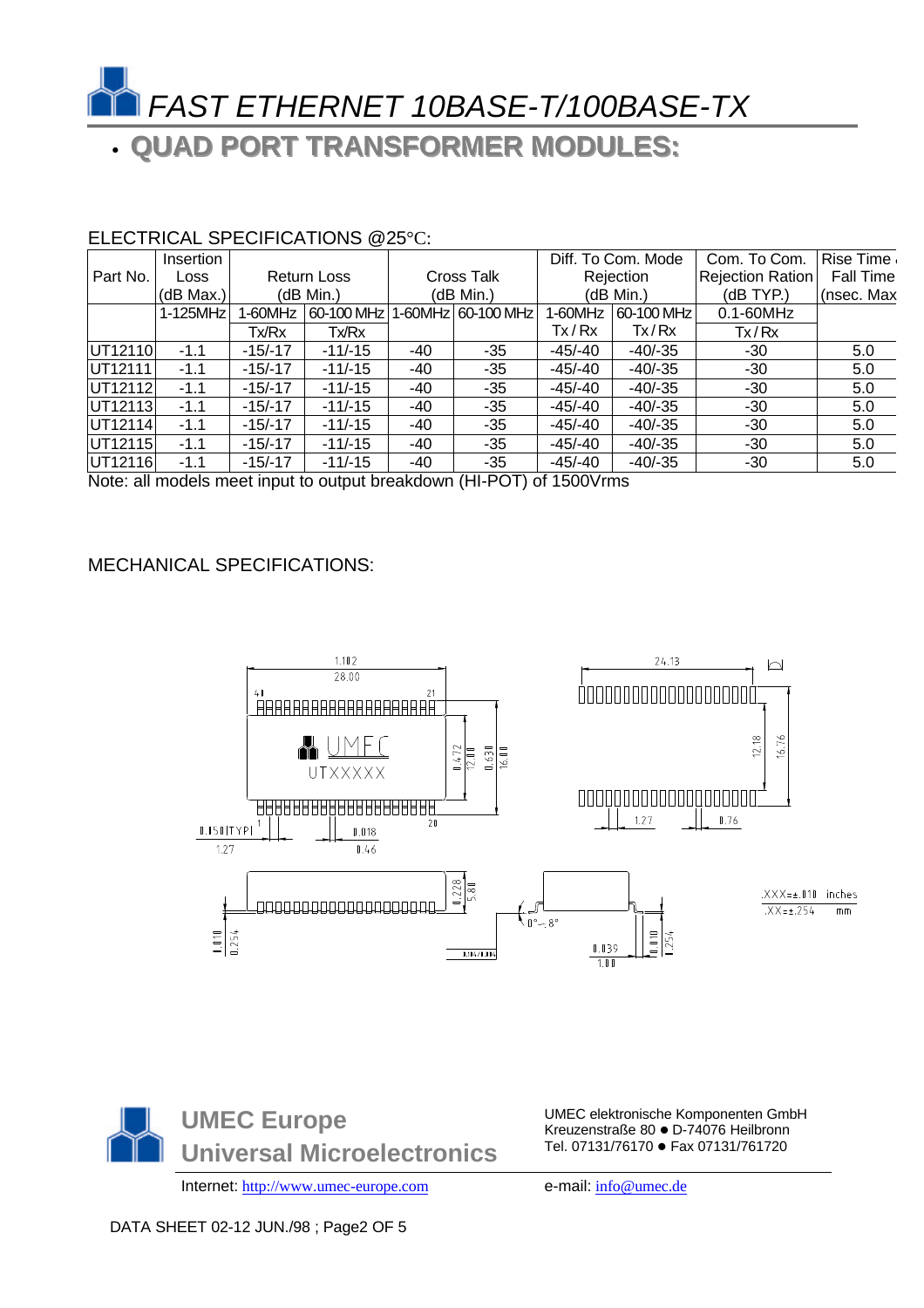

# • **QUAD PORT TRANSFORMER MODULES::**

### ELECTRICAL SPECIFICATIONS @25°C:

|          | Insertion |                    |            |                   |                    |            | Diff. To Com. Mode | Com. To Com.     | Rise Time        |
|----------|-----------|--------------------|------------|-------------------|--------------------|------------|--------------------|------------------|------------------|
| Part No. | Loss      | <b>Return Loss</b> |            | <b>Cross Talk</b> |                    | Rejection  |                    | Rejection Ration | <b>Fall Time</b> |
|          | (dB Max.) | (dB Min.)          |            | (dB Min.)         |                    | (dB Min.)  |                    | (dB TYP.)        | (nsec. Max       |
|          | 1-125MHz  | 1-60MHz            | 60-100 MHz |                   | 1-60MHz 60-100 MHz | 1-60MHz    | 60-100 MHz         | $0.1 - 60$ MHz   |                  |
|          |           | Tx/Rx              | Tx/Rx      |                   |                    | Tx/Rx      | Tx/Rx              | Tx/Rx            |                  |
| UT12110  | $-1.1$    | $-15/ -17$         | $-11/-15$  | $-40$             | $-35$              | $-45/-40$  | $-40/-35$          | -30              | 5.0              |
| UT12111  | $-1.1$    | $-15/ -17$         | $-11/-15$  | -40               | $-35$              | $-45/ -40$ | $-40/-35$          | $-30$            | 5.0              |
| UT12112  | $-1.1$    | $-15/-17$          | $-11/-15$  | -40               | $-35$              | -45/-40    | $-40/-35$          | $-30$            | 5.0              |
| UT12113  | $-1.1$    | $-15/-17$          | $-11/-15$  | -40               | $-35$              | -45/-40    | $-40/-35$          | $-30$            | 5.0              |
| UT12114  | $-1.1$    | $-15/ -17$         | $-11/-15$  | -40               | $-35$              | -45/-40    | $-40/-35$          | $-30$            | 5.0              |
| UT12115  | $-1.1$    | $-15/ -17$         | $-11/-15$  | -40               | $-35$              | -45/-40    | $-40/-35$          | $-30$            | 5.0              |
| UT12116  | $-1.1$    | $-15/-17$          | $-11/-15$  | -40               | $-35$              | -45/-40    | $-40/-35$          | $-30$            | 5.0              |

Note: all models meet input to output breakdown (HI-POT) of 1500Vrms

### MECHANICAL SPECIFICATIONS:





UMEC elektronische Komponenten GmbH Kreuzenstraße 80 · D-74076 Heilbronn Tel. 07131/76170 · Fax 07131/761720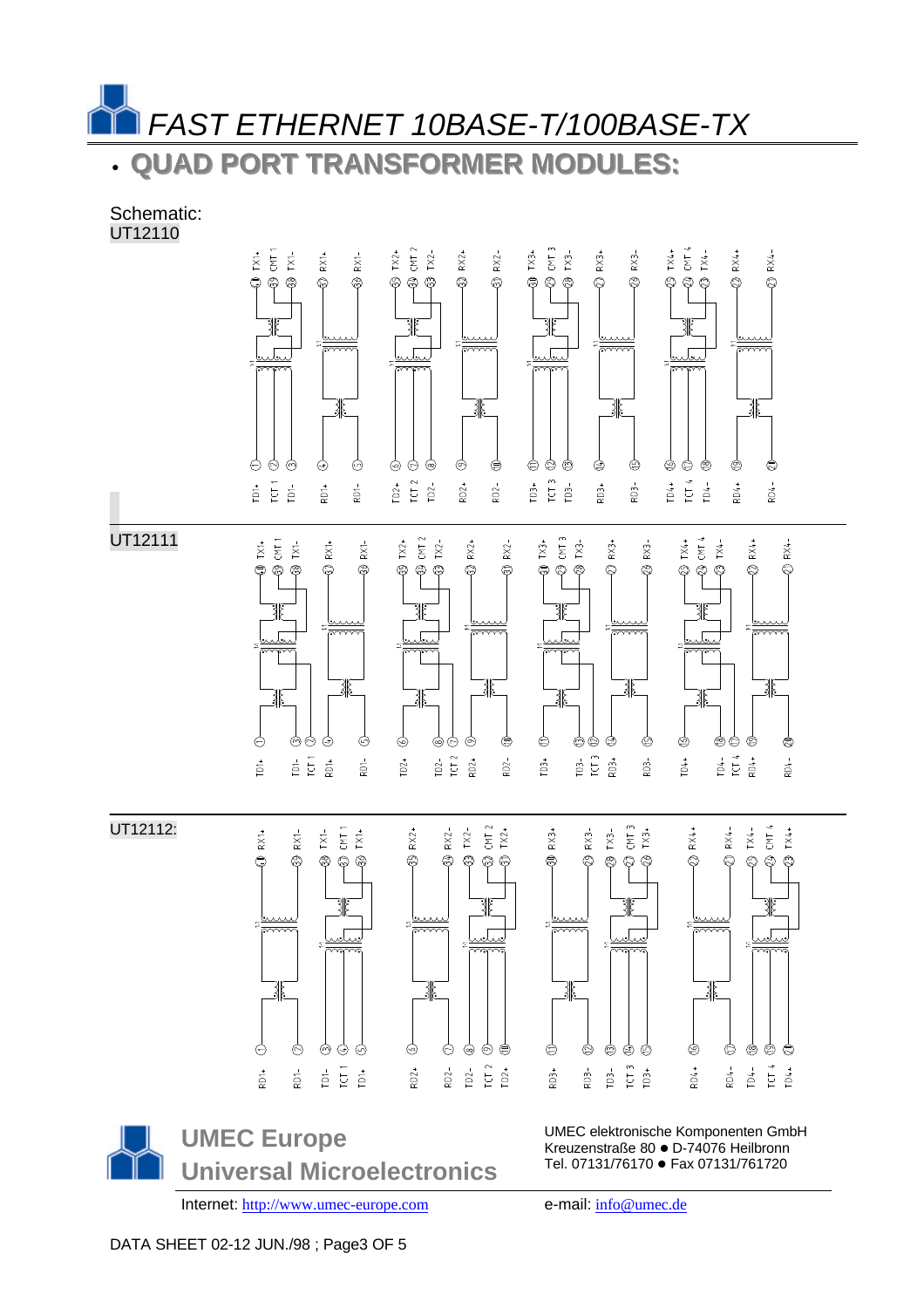*FAST ETHERNET 10BASE-T/100BASE-TX*

• **QUAD PORT TRANSFORMER MODULES::**

Schematic: UT12110



UMEC elektronische Komponenten GmbH Kreuzenstraße 80 · D-74076 Heilbronn Tel. 07131/76170 · Fax 07131/761720

Internet: http://www.umec-europe.com e-mail: info@umec.de

**Universal Microelectronics**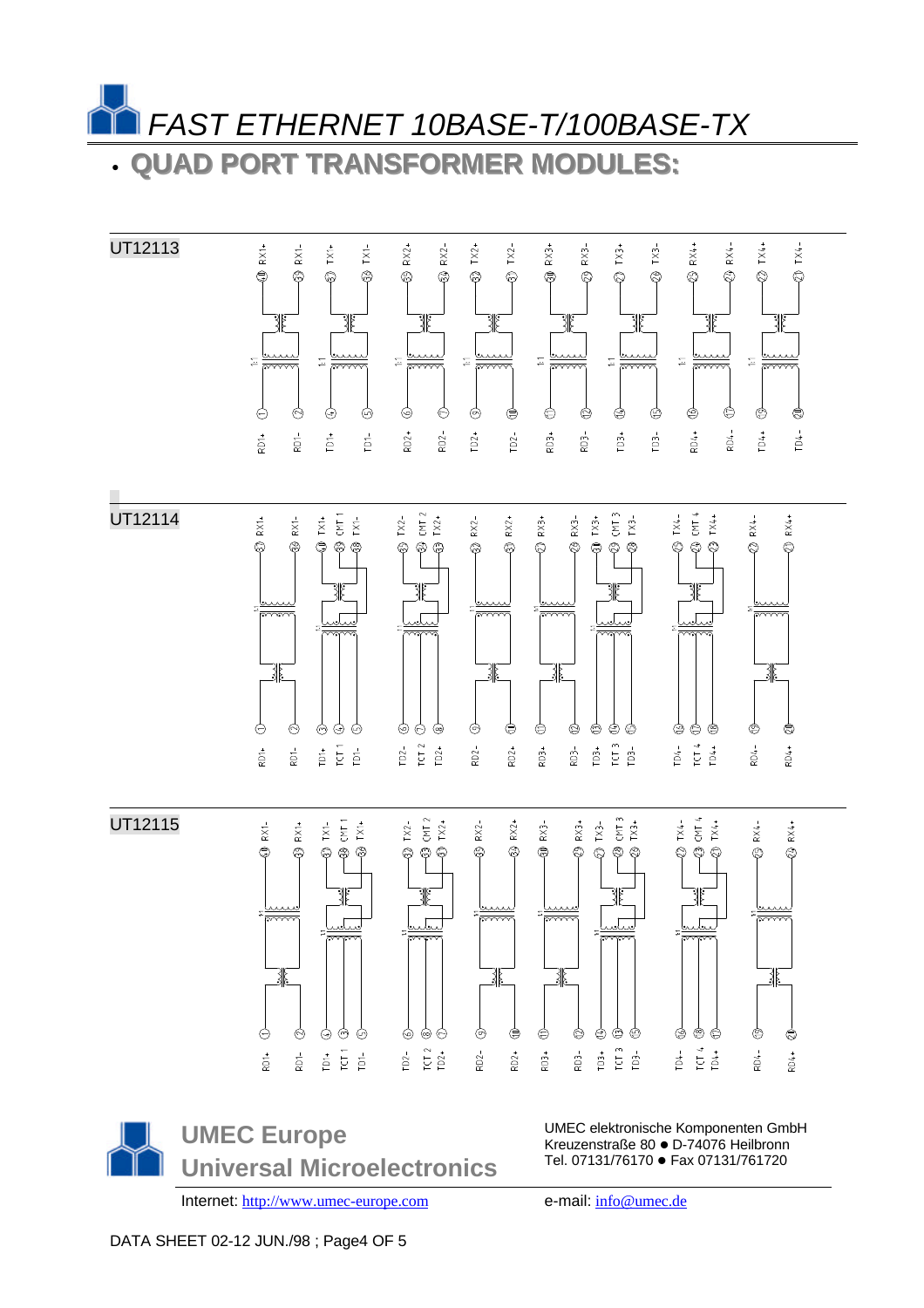*FAST ETHERNET 10BASE-T/100BASE-TX* • **QUAD PORT TRANSFORMER MODULES::**

UT12113  $R^+$  $RXI-$ TX1- $RX<sup>2</sup>$  $RX2 -$ TX4+  $TX_{+}$ TX2+ TX2- $RX$  $RX$ RX4-TX1+ TX3 TX3-RX4  $\bigoplus$  $\bigcirc$ ക ශී  $\circledS$  $\circledS$  $\circledcirc$  $\otimes$  $\mathbb{Q}$  $\hat{\mathcal{Q}}$  $\circledcirc$  $\circledcirc$  $\circledcirc$ ٣ ☺  $\hat{\mathcal{O}}$ ∛ ∛ ∛ 31 ∛ امما  $\Xi$  $\Xi$  $\Xi$  $\overline{\mathbb{Z}}$  $\Xi$  $\overleftarrow{+}$  $\Xi$  $\Xi$  $\frac{1}{\sqrt{2}}$  $\ominus$  $\circledcirc$  $\odot$ Ò ⊚  $\odot$  $\circledcirc$ ⊜ ⊜ ¢ ⊜ ⊜ ⊜ ⊜ ⊜ É,  $\overline{D}$  $\overline{D}$  $202 1D2+$  $TD2 \sum_{k=1}^{n}$  $3<sup>-</sup>$  $103 +$ RD4+  $-704 -$ **D4+**  $TD4 RD1$  $3D2 +$  $103 R_{\rm D1}^+$ UT12114  $\frac{1}{2}$ TX3- $\begin{array}{c}\n\text{TX4} \\
\text{CMT 4} \\
\text{TX4} \\
\end{array}$  $\begin{array}{cc}\n1\times2 \\
1\times1\n\end{array}$  $RX^+$  $RX \frac{1}{2}$   $\frac{1}{2}$   $\frac{1}{2}$   $\frac{1}{2}$   $\frac{1}{2}$   $\frac{1}{2}$   $\frac{1}{2}$   $\frac{1}{2}$  $RX RX<sup>2</sup>$ RX3+  $RX$ <sup>-</sup>  $TX^*$  $RX4 -$ RX4+  $\circledS$ ⊗ ⊜ ම  $\circledcirc$ ි  $\circledcirc$ Q, Ø  $\hat{\mathcal{Q}}$  $\bigcirc$ ത് ∕ష్ Q 兆 兆 38 Ò  $\phi$ ある 99 </u> ⊜ Ó Ó ⊜ ⊜ ⊜ ⊙ ☺ ⊜  $\circledcirc$ ⊜ ⋐  $\begin{array}{c}\n\text{TD2-} \\
\text{ICT 2} \\
\text{ID2+}\n\end{array}$  $\frac{1}{103}$  $\begin{array}{cccc}\n104 & 4 \\
10 & 4 \\
10 & 4\n\end{array}$  $E E$  $8D2 3D2 +$  $\overline{2}$  $\frac{1}{2}$ -ras  $\dot{\mathbb{D}}^+$  $203 \vec{\mathbb{C}}$ łD4+ UT12115 CMT 3<br> $TX3+$  $\frac{1}{2}$  =  $\frac{1}{2}$  $TX^2 -$ <br>CMT 2<br>TX2+  $RX2 RX<sub>2</sub>$ RX3- $RX3+$  $TX^2$  $T X 4 - C N T 4$  $RX1 RX$ <sup>+</sup>  $RX4 RX4 +$ ⊜  $\circledS$  $\mathbb{Q}$ ◎ ⊗  $\circledS$  $\circledS$  $\circledcirc$  $\circledS$ ⊜  $\circledcirc$ Ĉ ☺  $\otimes$  $\circledcirc$ ద్ద ి € © ඬ يبيب  $\frac{1}{2}$  $\frac{1}{2}$  $\overline{\phantom{a}}$ 31 ∛ Ò ♦ ⊚ </u> しゅ </u> ⊜ ⊜ ⊜ Ò ⊜ ⊜ ⊜  $\Theta$ ⊜ 食 É  $\begin{array}{c}\n103 + \\
103 - \\
103 - \\
\end{array}$ TD4-<br>TCT 4<br>TD4+  $\frac{1}{6}$   $\frac{1}{6}$   $\frac{1}{6}$  $\overline{D2}$  =  $\overline{C1}$   $\overline{D2}$  +  $202 803 +$  $203 -$ -tas  $204 +$  $\frac{1}{2}$  $\sum_{i=1}^{n}$  $202 +$ 

**UMEC Europe Universal Microelectronics**

Internet: http://www.umec-europe.com e-mail: info@umec.de

UMEC elektronische Komponenten GmbH Kreuzenstraße 80 · D-74076 Heilbronn Tel. 07131/76170 · Fax 07131/761720